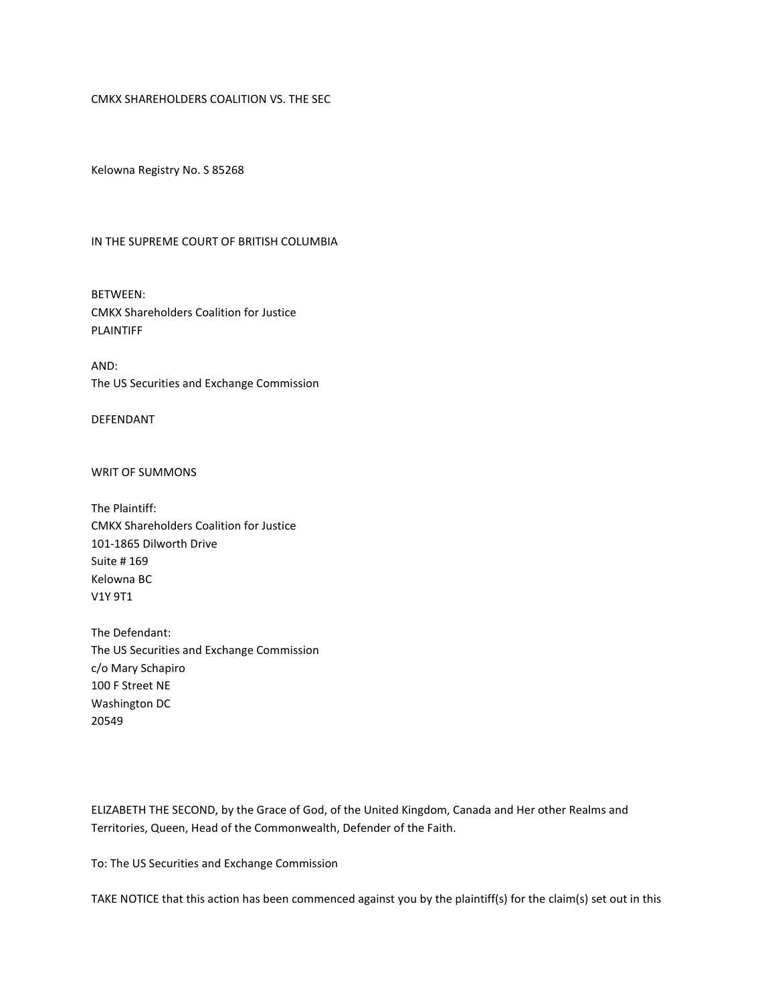# CMKX SHAREHOLDERS COALITION VS. THE SEC

Kelowna Registry No. S 85268

#### IN THE SUPREME COURT OF BRITISH COLUMBIA

BETWEEN: CMKX Shareholders Coalition for Justice PLAINTIFF

AND: The US Securities and Exchange Commission

DEFENDANT

WRIT OF SUMMONS

The Plaintiff: CMKX Shareholders Coalition for Justice 101-1865 Dilworth Drive Suite # 169 Kelowna BC V1Y 9T1

The Defendant: The US Securities and Exchange Commission c/o Mary Schapiro 100 F Street NE Washington DC 20549

ELIZABETH THE SECOND, by the Grace of God, of the United Kingdom, Canada and Her other Realms and Territories, Queen, Head of the Commonwealth, Defender of the Faith.

To: The US Securities and Exchange Commission

TAKE NOTICE that this action has been commenced against you by the plaintiff(s) for the claim(s) set out in this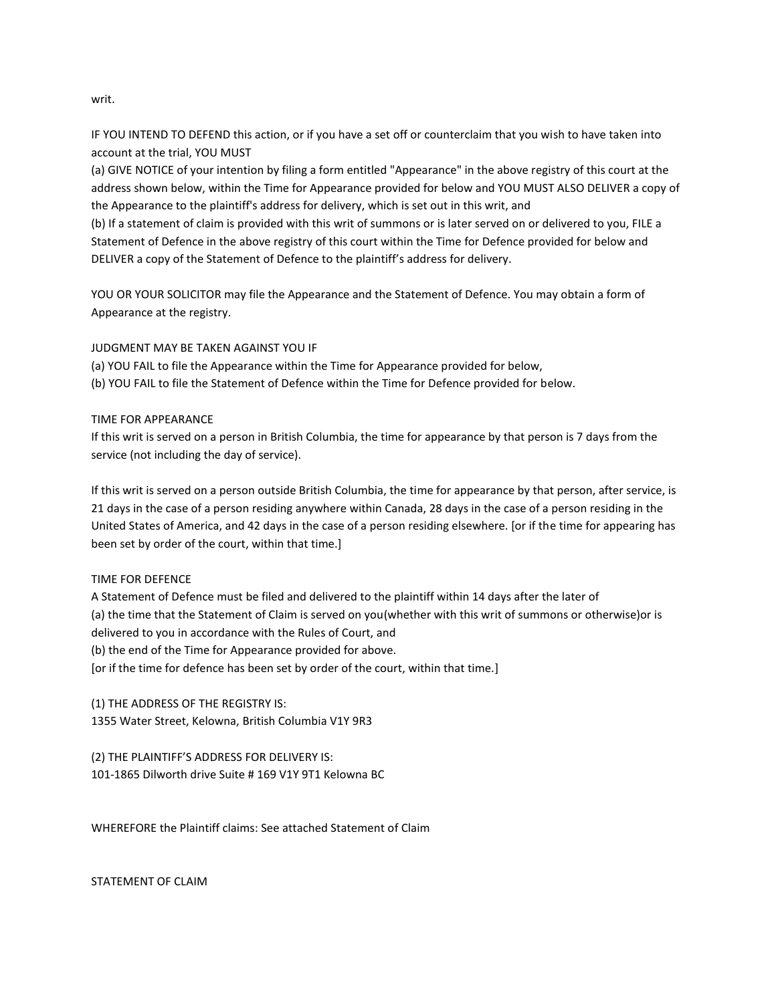writ.

IF YOU INTEND TO DEFEND this action, or if you have a set off or counterclaim that you wish to have taken into account at the trial, YOU MUST

(a) GIVE NOTICE of your intention by filing a form entitled "Appearance" in the above registry of this court at the address shown below, within the Time for Appearance provided for below and YOU MUST ALSO DELIVER a copy of the Appearance to the plaintiff's address for delivery, which is set out in this writ, and

(b) If a statement of claim is provided with this writ of summons or is later served on or delivered to you, FILE a Statement of Defence in the above registry of this court within the Time for Defence provided for below and DELIVER a copy of the Statement of Defence to the plaintiff's address for delivery.

YOU OR YOUR SOLICITOR may file the Appearance and the Statement of Defence. You may obtain a form of Appearance at the registry.

# JUDGMENT MAY BE TAKEN AGAINST YOU IF

(a) YOU FAIL to file the Appearance within the Time for Appearance provided for below, (b) YOU FAIL to file the Statement of Defence within the Time for Defence provided for below.

### TIME FOR APPEARANCE

If this writ is served on a person in British Columbia, the time for appearance by that person is 7 days from the service (not including the day of service).

If this writ is served on a person outside British Columbia, the time for appearance by that person, after service, is 21 days in the case of a person residing anywhere within Canada, 28 days in the case of a person residing in the United States of America, and 42 days in the case of a person residing elsewhere. [or if the time for appearing has been set by order of the court, within that time.]

### TIME FOR DEFENCE

A Statement of Defence must be filed and delivered to the plaintiff within 14 days after the later of (a) the time that the Statement of Claim is served on you(whether with this writ of summons or otherwise)or is delivered to you in accordance with the Rules of Court, and (b) the end of the Time for Appearance provided for above. [or if the time for defence has been set by order of the court, within that time.]

(1) THE ADDRESS OF THE REGISTRY IS: 1355 Water Street, Kelowna, British Columbia V1Y 9R3

(2) THE PLAINTIFF'S ADDRESS FOR DELIVERY IS: 101-1865 Dilworth drive Suite # 169 V1Y 9T1 Kelowna BC

WHEREFORE the Plaintiff claims: See attached Statement of Claim

STATEMENT OF CLAIM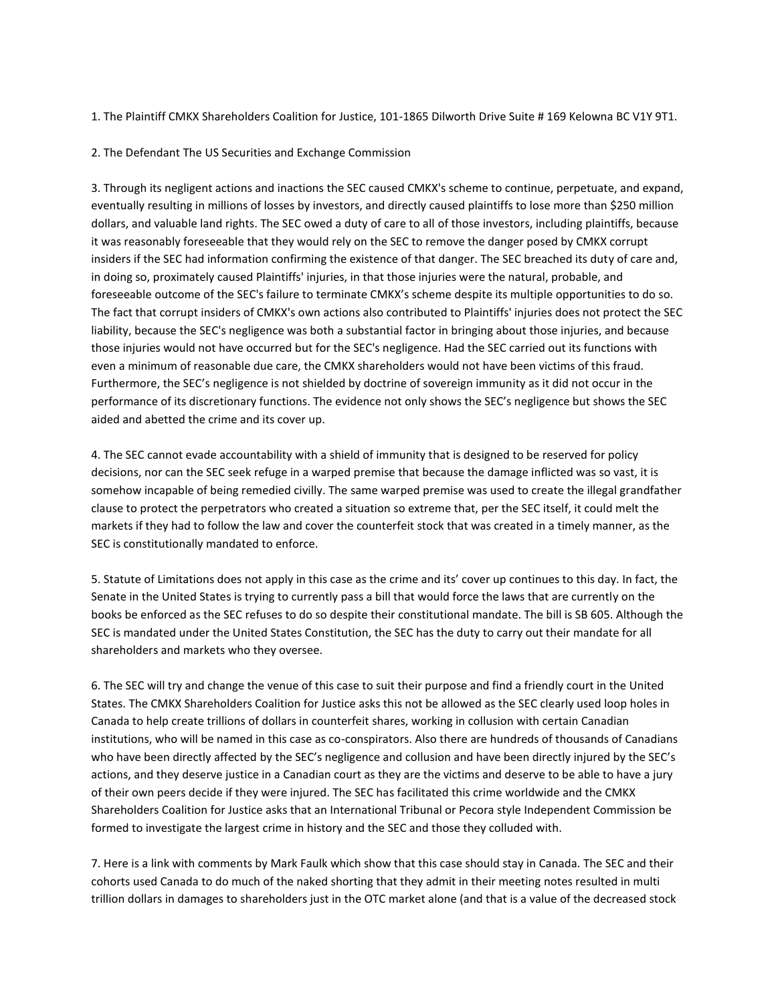1. The Plaintiff CMKX Shareholders Coalition for Justice, 101-1865 Dilworth Drive Suite # 169 Kelowna BC V1Y 9T1.

# 2. The Defendant The US Securities and Exchange Commission

3. Through its negligent actions and inactions the SEC caused CMKX's scheme to continue, perpetuate, and expand, eventually resulting in millions of losses by investors, and directly caused plaintiffs to lose more than \$250 million dollars, and valuable land rights. The SEC owed a duty of care to all of those investors, including plaintiffs, because it was reasonably foreseeable that they would rely on the SEC to remove the danger posed by CMKX corrupt insiders if the SEC had information confirming the existence of that danger. The SEC breached its duty of care and, in doing so, proximately caused Plaintiffs' injuries, in that those injuries were the natural, probable, and foreseeable outcome of the SEC's failure to terminate CMKX's scheme despite its multiple opportunities to do so. The fact that corrupt insiders of CMKX's own actions also contributed to Plaintiffs' injuries does not protect the SEC liability, because the SEC's negligence was both a substantial factor in bringing about those injuries, and because those injuries would not have occurred but for the SEC's negligence. Had the SEC carried out its functions with even a minimum of reasonable due care, the CMKX shareholders would not have been victims of this fraud. Furthermore, the SEC's negligence is not shielded by doctrine of sovereign immunity as it did not occur in the performance of its discretionary functions. The evidence not only shows the SEC's negligence but shows the SEC aided and abetted the crime and its cover up.

4. The SEC cannot evade accountability with a shield of immunity that is designed to be reserved for policy decisions, nor can the SEC seek refuge in a warped premise that because the damage inflicted was so vast, it is somehow incapable of being remedied civilly. The same warped premise was used to create the illegal grandfather clause to protect the perpetrators who created a situation so extreme that, per the SEC itself, it could melt the markets if they had to follow the law and cover the counterfeit stock that was created in a timely manner, as the SEC is constitutionally mandated to enforce.

5. Statute of Limitations does not apply in this case as the crime and its' cover up continues to this day. In fact, the Senate in the United States is trying to currently pass a bill that would force the laws that are currently on the books be enforced as the SEC refuses to do so despite their constitutional mandate. The bill is SB 605. Although the SEC is mandated under the United States Constitution, the SEC has the duty to carry out their mandate for all shareholders and markets who they oversee.

6. The SEC will try and change the venue of this case to suit their purpose and find a friendly court in the United States. The CMKX Shareholders Coalition for Justice asks this not be allowed as the SEC clearly used loop holes in Canada to help create trillions of dollars in counterfeit shares, working in collusion with certain Canadian institutions, who will be named in this case as co-conspirators. Also there are hundreds of thousands of Canadians who have been directly affected by the SEC's negligence and collusion and have been directly injured by the SEC's actions, and they deserve justice in a Canadian court as they are the victims and deserve to be able to have a jury of their own peers decide if they were injured. The SEC has facilitated this crime worldwide and the CMKX Shareholders Coalition for Justice asks that an International Tribunal or Pecora style Independent Commission be formed to investigate the largest crime in history and the SEC and those they colluded with.

7. Here is a link with comments by Mark Faulk which show that this case should stay in Canada. The SEC and their cohorts used Canada to do much of the naked shorting that they admit in their meeting notes resulted in multi trillion dollars in damages to shareholders just in the OTC market alone (and that is a value of the decreased stock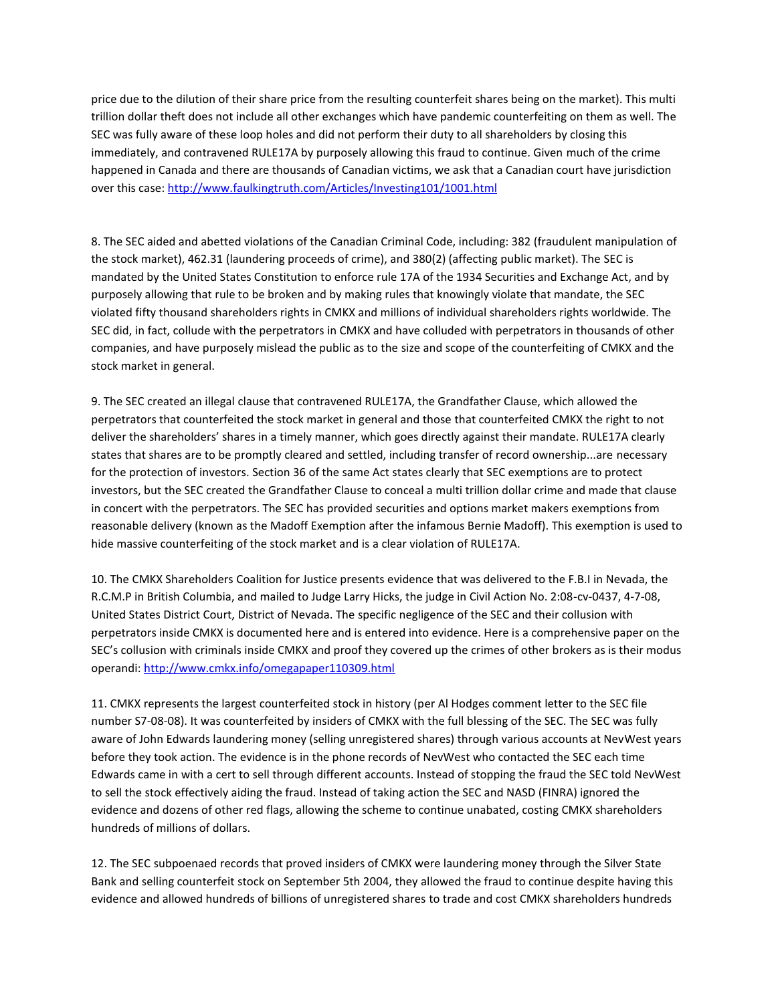price due to the dilution of their share price from the resulting counterfeit shares being on the market). This multi trillion dollar theft does not include all other exchanges which have pandemic counterfeiting on them as well. The SEC was fully aware of these loop holes and did not perform their duty to all shareholders by closing this immediately, and contravened RULE17A by purposely allowing this fraud to continue. Given much of the crime happened in Canada and there are thousands of Canadian victims, we ask that a Canadian court have jurisdiction over this case[: http://www.faulkingtruth.com/Articles/Investing101/1001.html](http://www.faulkingtruth.com/Articles/Investing101/1001.html)

8. The SEC aided and abetted violations of the Canadian Criminal Code, including: 382 (fraudulent manipulation of the stock market), 462.31 (laundering proceeds of crime), and 380(2) (affecting public market). The SEC is mandated by the United States Constitution to enforce rule 17A of the 1934 Securities and Exchange Act, and by purposely allowing that rule to be broken and by making rules that knowingly violate that mandate, the SEC violated fifty thousand shareholders rights in CMKX and millions of individual shareholders rights worldwide. The SEC did, in fact, collude with the perpetrators in CMKX and have colluded with perpetrators in thousands of other companies, and have purposely mislead the public as to the size and scope of the counterfeiting of CMKX and the stock market in general.

9. The SEC created an illegal clause that contravened RULE17A, the Grandfather Clause, which allowed the perpetrators that counterfeited the stock market in general and those that counterfeited CMKX the right to not deliver the shareholders' shares in a timely manner, which goes directly against their mandate. RULE17A clearly states that shares are to be promptly cleared and settled, including transfer of record ownership...are necessary for the protection of investors. Section 36 of the same Act states clearly that SEC exemptions are to protect investors, but the SEC created the Grandfather Clause to conceal a multi trillion dollar crime and made that clause in concert with the perpetrators. The SEC has provided securities and options market makers exemptions from reasonable delivery (known as the Madoff Exemption after the infamous Bernie Madoff). This exemption is used to hide massive counterfeiting of the stock market and is a clear violation of RULE17A.

10. The CMKX Shareholders Coalition for Justice presents evidence that was delivered to the F.B.I in Nevada, the R.C.M.P in British Columbia, and mailed to Judge Larry Hicks, the judge in Civil Action No. 2:08-cv-0437, 4-7-08, United States District Court, District of Nevada. The specific negligence of the SEC and their collusion with perpetrators inside CMKX is documented here and is entered into evidence. Here is a comprehensive paper on the SEC's collusion with criminals inside CMKX and proof they covered up the crimes of other brokers as is their modus operandi[: http://www.cmkx.info/omegapaper110309.html](http://www.cmkx.info/omegapaper110309.html)

11. CMKX represents the largest counterfeited stock in history (per Al Hodges comment letter to the SEC file number S7-08-08). It was counterfeited by insiders of CMKX with the full blessing of the SEC. The SEC was fully aware of John Edwards laundering money (selling unregistered shares) through various accounts at NevWest years before they took action. The evidence is in the phone records of NevWest who contacted the SEC each time Edwards came in with a cert to sell through different accounts. Instead of stopping the fraud the SEC told NevWest to sell the stock effectively aiding the fraud. Instead of taking action the SEC and NASD (FINRA) ignored the evidence and dozens of other red flags, allowing the scheme to continue unabated, costing CMKX shareholders hundreds of millions of dollars.

12. The SEC subpoenaed records that proved insiders of CMKX were laundering money through the Silver State Bank and selling counterfeit stock on September 5th 2004, they allowed the fraud to continue despite having this evidence and allowed hundreds of billions of unregistered shares to trade and cost CMKX shareholders hundreds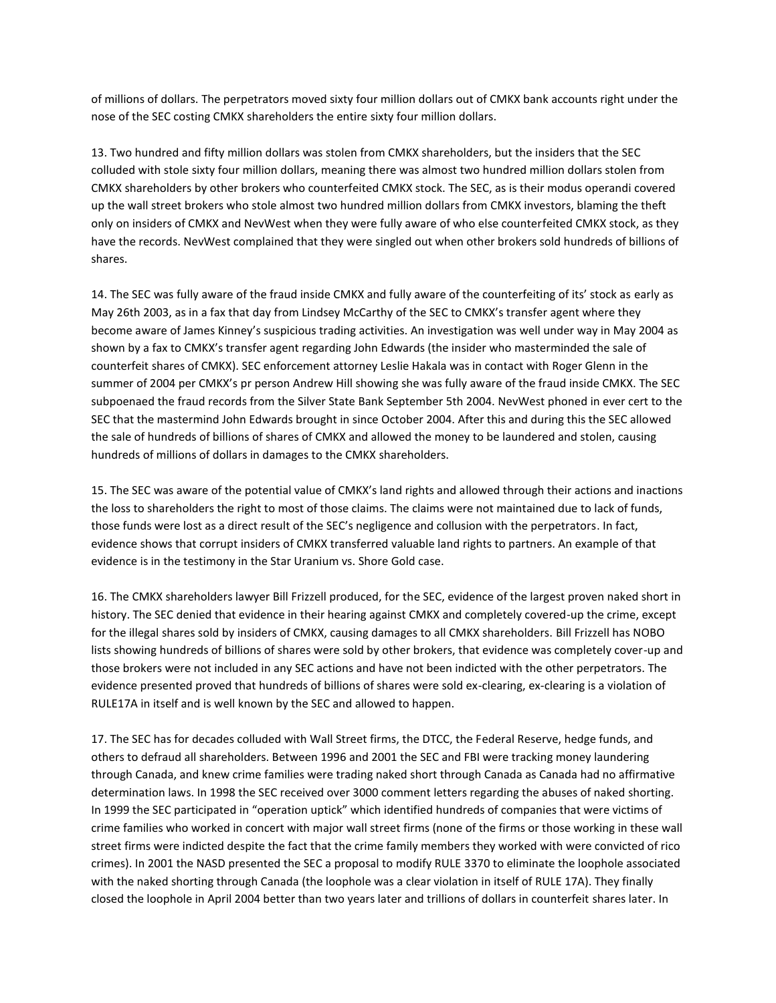of millions of dollars. The perpetrators moved sixty four million dollars out of CMKX bank accounts right under the nose of the SEC costing CMKX shareholders the entire sixty four million dollars.

13. Two hundred and fifty million dollars was stolen from CMKX shareholders, but the insiders that the SEC colluded with stole sixty four million dollars, meaning there was almost two hundred million dollars stolen from CMKX shareholders by other brokers who counterfeited CMKX stock. The SEC, as is their modus operandi covered up the wall street brokers who stole almost two hundred million dollars from CMKX investors, blaming the theft only on insiders of CMKX and NevWest when they were fully aware of who else counterfeited CMKX stock, as they have the records. NevWest complained that they were singled out when other brokers sold hundreds of billions of shares.

14. The SEC was fully aware of the fraud inside CMKX and fully aware of the counterfeiting of its' stock as early as May 26th 2003, as in a fax that day from Lindsey McCarthy of the SEC to CMKX's transfer agent where they become aware of James Kinney's suspicious trading activities. An investigation was well under way in May 2004 as shown by a fax to CMKX's transfer agent regarding John Edwards (the insider who masterminded the sale of counterfeit shares of CMKX). SEC enforcement attorney Leslie Hakala was in contact with Roger Glenn in the summer of 2004 per CMKX's pr person Andrew Hill showing she was fully aware of the fraud inside CMKX. The SEC subpoenaed the fraud records from the Silver State Bank September 5th 2004. NevWest phoned in ever cert to the SEC that the mastermind John Edwards brought in since October 2004. After this and during this the SEC allowed the sale of hundreds of billions of shares of CMKX and allowed the money to be laundered and stolen, causing hundreds of millions of dollars in damages to the CMKX shareholders.

15. The SEC was aware of the potential value of CMKX's land rights and allowed through their actions and inactions the loss to shareholders the right to most of those claims. The claims were not maintained due to lack of funds, those funds were lost as a direct result of the SEC's negligence and collusion with the perpetrators. In fact, evidence shows that corrupt insiders of CMKX transferred valuable land rights to partners. An example of that evidence is in the testimony in the Star Uranium vs. Shore Gold case.

16. The CMKX shareholders lawyer Bill Frizzell produced, for the SEC, evidence of the largest proven naked short in history. The SEC denied that evidence in their hearing against CMKX and completely covered-up the crime, except for the illegal shares sold by insiders of CMKX, causing damages to all CMKX shareholders. Bill Frizzell has NOBO lists showing hundreds of billions of shares were sold by other brokers, that evidence was completely cover-up and those brokers were not included in any SEC actions and have not been indicted with the other perpetrators. The evidence presented proved that hundreds of billions of shares were sold ex-clearing, ex-clearing is a violation of RULE17A in itself and is well known by the SEC and allowed to happen.

17. The SEC has for decades colluded with Wall Street firms, the DTCC, the Federal Reserve, hedge funds, and others to defraud all shareholders. Between 1996 and 2001 the SEC and FBI were tracking money laundering through Canada, and knew crime families were trading naked short through Canada as Canada had no affirmative determination laws. In 1998 the SEC received over 3000 comment letters regarding the abuses of naked shorting. In 1999 the SEC participated in "operation uptick" which identified hundreds of companies that were victims of crime families who worked in concert with major wall street firms (none of the firms or those working in these wall street firms were indicted despite the fact that the crime family members they worked with were convicted of rico crimes). In 2001 the NASD presented the SEC a proposal to modify RULE 3370 to eliminate the loophole associated with the naked shorting through Canada (the loophole was a clear violation in itself of RULE 17A). They finally closed the loophole in April 2004 better than two years later and trillions of dollars in counterfeit shares later. In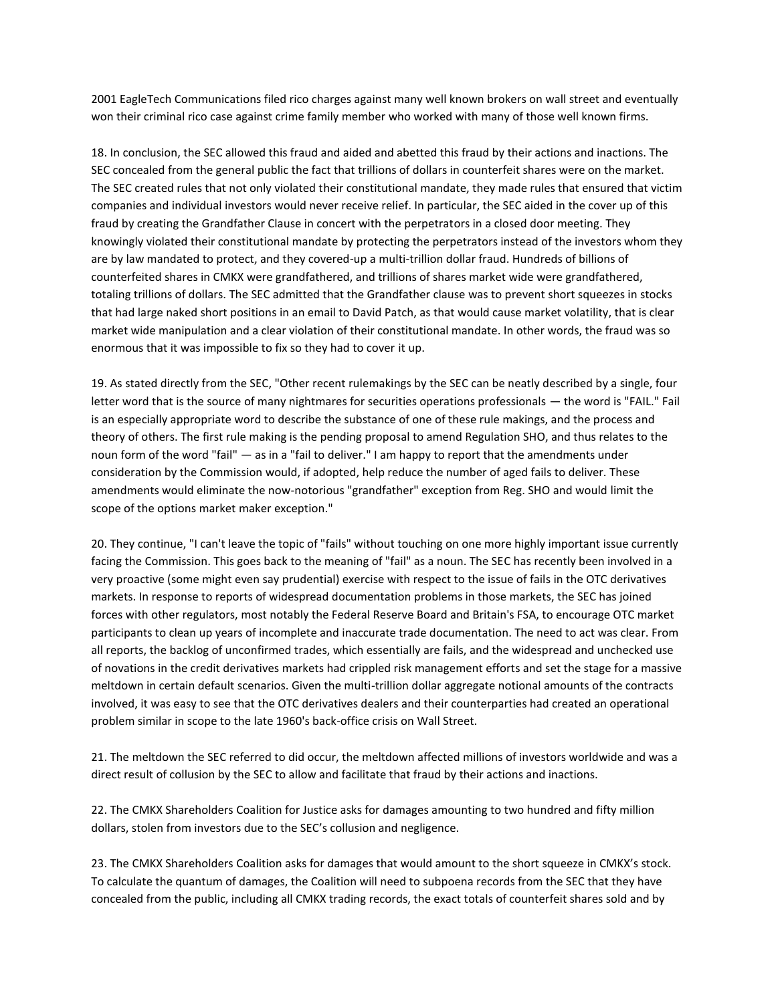2001 EagleTech Communications filed rico charges against many well known brokers on wall street and eventually won their criminal rico case against crime family member who worked with many of those well known firms.

18. In conclusion, the SEC allowed this fraud and aided and abetted this fraud by their actions and inactions. The SEC concealed from the general public the fact that trillions of dollars in counterfeit shares were on the market. The SEC created rules that not only violated their constitutional mandate, they made rules that ensured that victim companies and individual investors would never receive relief. In particular, the SEC aided in the cover up of this fraud by creating the Grandfather Clause in concert with the perpetrators in a closed door meeting. They knowingly violated their constitutional mandate by protecting the perpetrators instead of the investors whom they are by law mandated to protect, and they covered-up a multi-trillion dollar fraud. Hundreds of billions of counterfeited shares in CMKX were grandfathered, and trillions of shares market wide were grandfathered, totaling trillions of dollars. The SEC admitted that the Grandfather clause was to prevent short squeezes in stocks that had large naked short positions in an email to David Patch, as that would cause market volatility, that is clear market wide manipulation and a clear violation of their constitutional mandate. In other words, the fraud was so enormous that it was impossible to fix so they had to cover it up.

19. As stated directly from the SEC, "Other recent rulemakings by the SEC can be neatly described by a single, four letter word that is the source of many nightmares for securities operations professionals — the word is "FAIL." Fail is an especially appropriate word to describe the substance of one of these rule makings, and the process and theory of others. The first rule making is the pending proposal to amend Regulation SHO, and thus relates to the noun form of the word "fail" — as in a "fail to deliver." I am happy to report that the amendments under consideration by the Commission would, if adopted, help reduce the number of aged fails to deliver. These amendments would eliminate the now-notorious "grandfather" exception from Reg. SHO and would limit the scope of the options market maker exception."

20. They continue, "I can't leave the topic of "fails" without touching on one more highly important issue currently facing the Commission. This goes back to the meaning of "fail" as a noun. The SEC has recently been involved in a very proactive (some might even say prudential) exercise with respect to the issue of fails in the OTC derivatives markets. In response to reports of widespread documentation problems in those markets, the SEC has joined forces with other regulators, most notably the Federal Reserve Board and Britain's FSA, to encourage OTC market participants to clean up years of incomplete and inaccurate trade documentation. The need to act was clear. From all reports, the backlog of unconfirmed trades, which essentially are fails, and the widespread and unchecked use of novations in the credit derivatives markets had crippled risk management efforts and set the stage for a massive meltdown in certain default scenarios. Given the multi-trillion dollar aggregate notional amounts of the contracts involved, it was easy to see that the OTC derivatives dealers and their counterparties had created an operational problem similar in scope to the late 1960's back-office crisis on Wall Street.

21. The meltdown the SEC referred to did occur, the meltdown affected millions of investors worldwide and was a direct result of collusion by the SEC to allow and facilitate that fraud by their actions and inactions.

22. The CMKX Shareholders Coalition for Justice asks for damages amounting to two hundred and fifty million dollars, stolen from investors due to the SEC's collusion and negligence.

23. The CMKX Shareholders Coalition asks for damages that would amount to the short squeeze in CMKX's stock. To calculate the quantum of damages, the Coalition will need to subpoena records from the SEC that they have concealed from the public, including all CMKX trading records, the exact totals of counterfeit shares sold and by